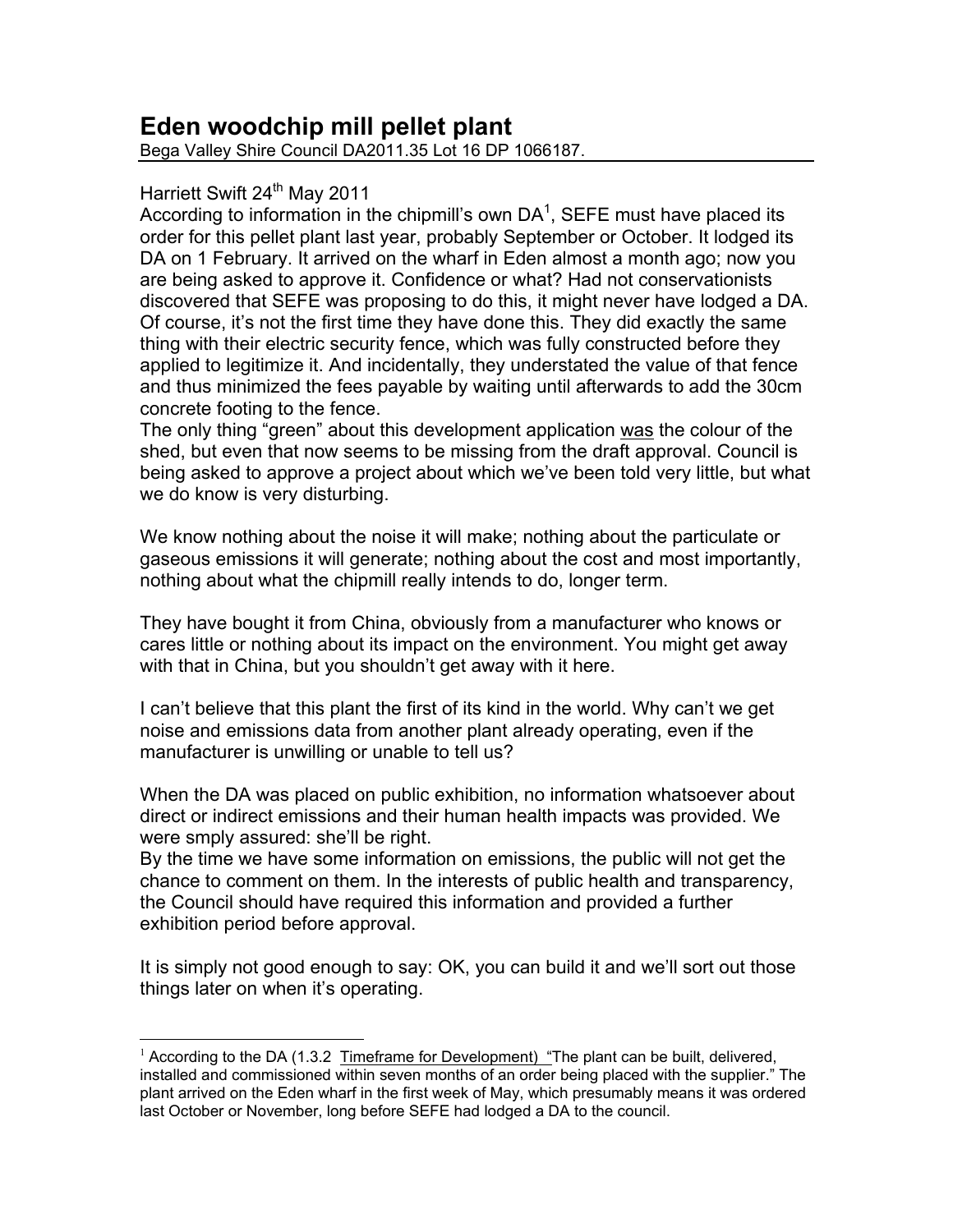## Eden woodchip mill pellet plant

Bega Valley Shire Council DA2011.35 Lot 16 DP 1066187.

## Harriett Swift 24<sup>th</sup> May 2011

According to information in the chipmill's own  $DA<sup>1</sup>$ , SEFE must have placed its order for this pellet plant last year, probably September or October. It lodged its DA on 1 February. It arrived on the wharf in Eden almost a month ago: now you are being asked to approve it. Confidence or what? Had not conservationists discovered that SEFE was proposing to do this, it might never have lodged a DA. Of course, it's not the first time they have done this. They did exactly the same thing with their electric security fence, which was fully constructed before they applied to legitimize it. And incidentally, they understated the value of that fence and thus minimized the fees payable by waiting until afterwards to add the 30cm concrete footing to the fence.

The only thing "green" about this development application was the colour of the shed, but even that now seems to be missing from the draft approval. Council is being asked to approve a project about which we've been told very little, but what we do know is very disturbing.

We know nothing about the noise it will make; nothing about the particulate or gaseous emissions it will generate; nothing about the cost and most importantly. nothing about what the chipmill really intends to do, longer term.

They have bought it from China, obviously from a manufacturer who knows or cares little or nothing about its impact on the environment. You might get away with that in China, but you shouldn't get away with it here.

I can't believe that this plant the first of its kind in the world. Why can't we get noise and emissions data from another plant already operating, even if the manufacturer is unwilling or unable to tell us?

When the DA was placed on public exhibition, no information whatsoever about direct or indirect emissions and their human health impacts was provided. We were smply assured: she'll be right.

By the time we have some information on emissions, the public will not get the chance to comment on them. In the interests of public health and transparency, the Council should have required this information and provided a further exhibition period before approval.

It is simply not good enough to say: OK, you can build it and we'll sort out those things later on when it's operating.

 $1$  According to the DA (1.3.2 Timeframe for Development) "The plant can be built, delivered, installed and commissioned within seven months of an order being placed with the supplier." The plant arrived on the Eden wharf in the first week of May, which presumably means it was ordered last October or November, long before SEFE had lodged a DA to the council.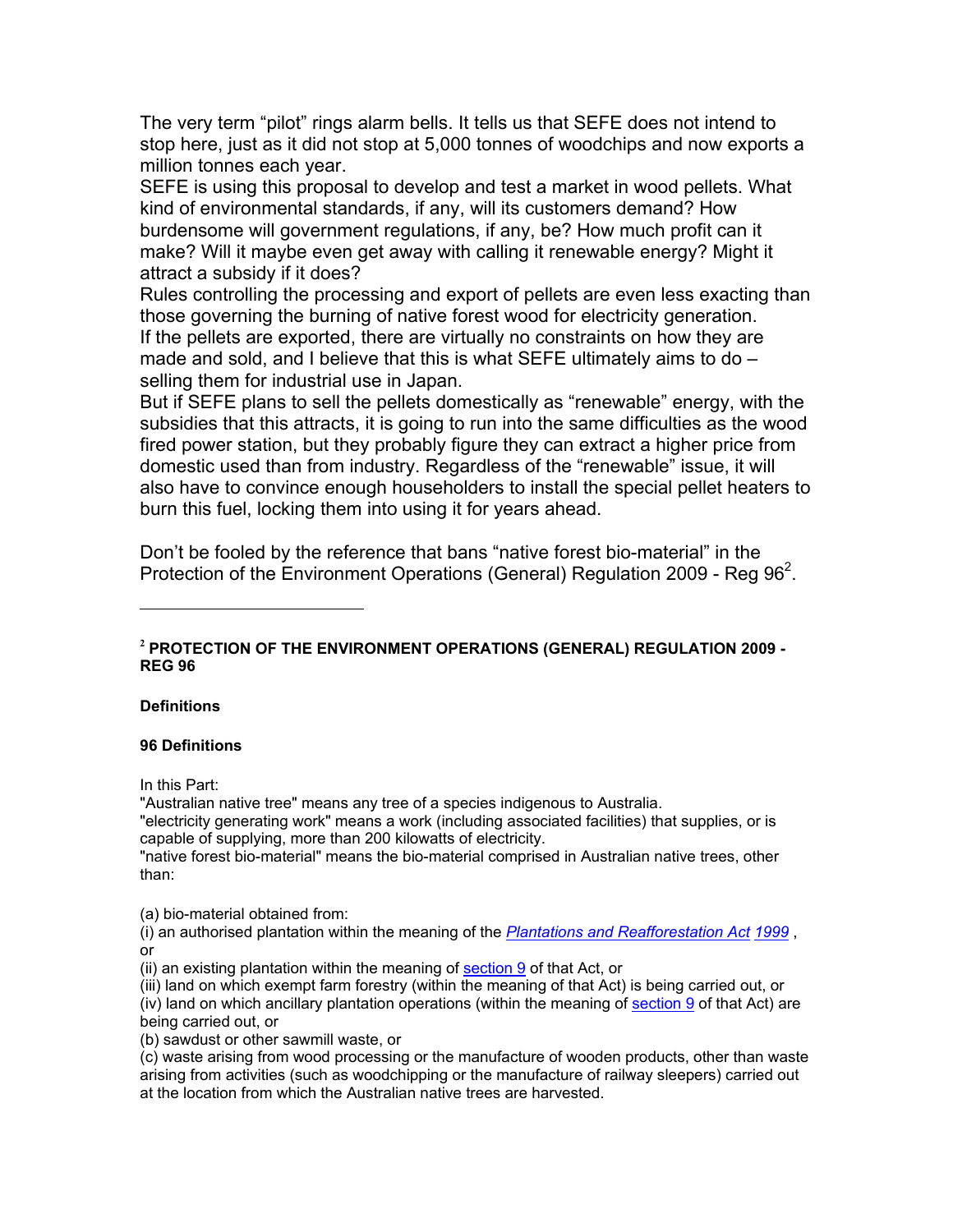The very term "pilot" rings alarm bells. It tells us that SEFE does not intend to stop here, just as it did not stop at 5,000 tonnes of woodchips and now exports a million tonnes each year.

SEFE is using this proposal to develop and test a market in wood pellets. What kind of environmental standards, if any, will its customers demand? How burdensome will government regulations, if any, be? How much profit can it make? Will it maybe even get away with calling it renewable energy? Might it attract a subsidy if it does?

Rules controlling the processing and export of pellets are even less exacting than those governing the burning of native forest wood for electricity generation. If the pellets are exported, there are virtually no constraints on how they are made and sold, and I believe that this is what SEFE ultimately aims to do selling them for industrial use in Japan.

But if SEFE plans to sell the pellets domestically as "renewable" energy, with the subsidies that this attracts, it is going to run into the same difficulties as the wood fired power station, but they probably figure they can extract a higher price from domestic used than from industry. Regardless of the "renewable" issue, it will also have to convince enough householders to install the special pellet heaters to burn this fuel, locking them into using it for years ahead.

Don't be fooled by the reference that bans "native forest bio-material" in the Protection of the Environment Operations (General) Regulation 2009 - Reg 96<sup>2</sup>.

## **Definitions**

## **96 Definitions**

In this Part:

"Australian native tree" means any tree of a species indigenous to Australia.

"electricity generating work" means a work (including associated facilities) that supplies, or is capable of supplying, more than 200 kilowatts of electricity.

"native forest bio-material" means the bio-material comprised in Australian native trees, other than:

(a) bio-material obtained from:

(i) an authorised plantation within the meaning of the **Plantations and Reafforestation Act 1999**, **or** 

(ii) an existing plantation within the meaning of section 9 of that Act, or

(iii) land on which exempt farm forestry (within the meaning of that Act) is being carried out, or (iv) land on which ancillary plantation operations (within the meaning of section 9 of that Act) are being carried out, or

(b) sawdust or other sawmill waste, or

(c) waste arising from wood processing or the manufacture of wooden products, other than waste arising from activities (such as woodchipping or the manufacture of railway sleepers) carried out at the location from which the Australian native trees are harvested.

<sup>&</sup>lt;sup>2</sup> PROTECTION OF THE ENVIRONMENT OPERATIONS (GENERAL) REGULATION 2009 -**REG 96**